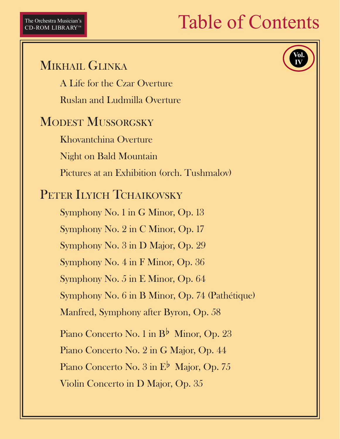## **Table of Contents**

MIKHAIL GLINKA A Life for the Czar Overture **Ruslan and Ludmilla Overture MODEST MUSSORGSKY** Khovantchina Overture **Night on Bald Mountain** Pictures at an Exhibition (orch. Tushmalov) PETER ILYICH TCHAIKOVSKY Symphony No. 1 in G Minor, Op. 13 Symphony No. 2 in C Minor, Op. 17 Symphony No. 3 in D Major, Op. 29 Symphony No. 4 in F Minor, Op. 36 Symphony No. 5 in E Minor, Op. 64 Symphony No. 6 in B Minor, Op. 74 (Pathétique) Manfred, Symphony after Byron, Op. 58 Piano Concerto No. 1 in B<sup>b</sup> Minor, Op. 23 Piano Concerto No. 2 in G Major, Op. 44 Piano Concerto No.  $3 \text{ in } E^{\flat}$  Major, Op. 75 Violin Concerto in D Major, Op. 35

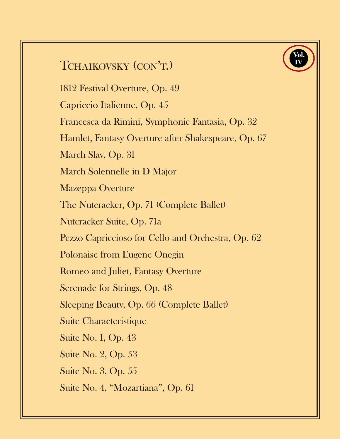## TCHAIKOVSKY (CON'T.)

1812 Festival Overture, Op. 49

Capriccio Italienne, Op. 45

Francesca da Rimini, Symphonic Fantasia, Op. 32

Hamlet, Fantasy Overture after Shakespeare, Op. 67

**Vol. IV**

March Slav, Op. 31

March Solennelle in D Major

Mazeppa Overture

The Nutcracker, Op. 71 (Complete Ballet)

Nutcracker Suite, Op. 71a

Pezzo Capriccioso for Cello and Orchestra, Op. 62

Polonaise from Eugene Onegin

Romeo and Juliet, Fantasy Overture

Serenade for Strings, Op. 48

Sleeping Beauty, Op. 66 (Complete Ballet)

Suite Characteristique

Suite No. 1, Op. 43

Suite No. 2, Op. 53

Suite No. 3, Op. 55

Suite No. 4, "Mozartiana", Op. 61